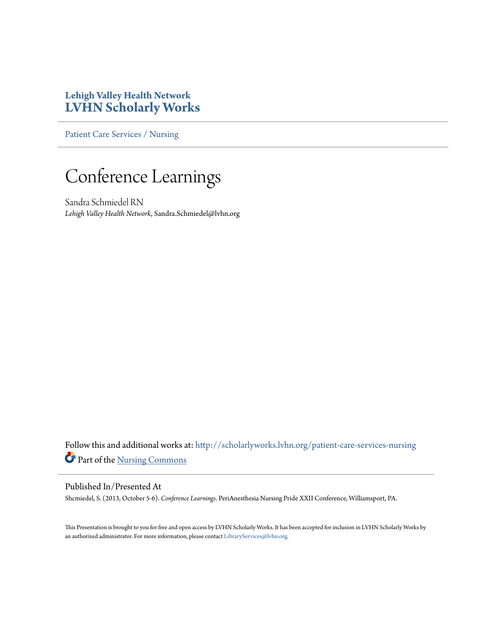### **Lehigh Valley Health Network [LVHN Scholarly Works](http://scholarlyworks.lvhn.org?utm_source=scholarlyworks.lvhn.org%2Fpatient-care-services-nursing%2F281&utm_medium=PDF&utm_campaign=PDFCoverPages)**

[Patient Care Services / Nursing](http://scholarlyworks.lvhn.org/patient-care-services-nursing?utm_source=scholarlyworks.lvhn.org%2Fpatient-care-services-nursing%2F281&utm_medium=PDF&utm_campaign=PDFCoverPages)

### Conference Learnings

Sandra Schmiedel RN *Lehigh Valley Health Network*, Sandra.Schmiedel@lvhn.org

Follow this and additional works at: [http://scholarlyworks.lvhn.org/patient-care-services-nursing](http://scholarlyworks.lvhn.org/patient-care-services-nursing?utm_source=scholarlyworks.lvhn.org%2Fpatient-care-services-nursing%2F281&utm_medium=PDF&utm_campaign=PDFCoverPages) Part of the [Nursing Commons](http://network.bepress.com/hgg/discipline/718?utm_source=scholarlyworks.lvhn.org%2Fpatient-care-services-nursing%2F281&utm_medium=PDF&utm_campaign=PDFCoverPages)

#### Published In/Presented At

Shcmiedel, S. (2013, October 5-6). *Conference Learnings*. PeriAnesthesia Nursing Pride XXII Conference, Williamsport, PA.

This Presentation is brought to you for free and open access by LVHN Scholarly Works. It has been accepted for inclusion in LVHN Scholarly Works by an authorized administrator. For more information, please contact [LibraryServices@lvhn.org](mailto:LibraryServices@lvhn.org).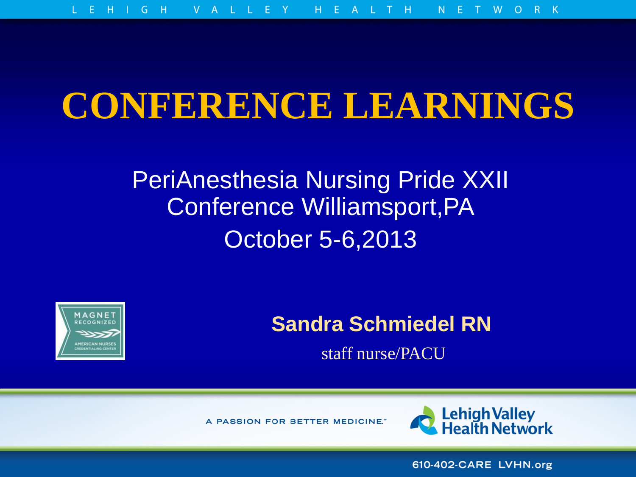## **CONFERENCE LEARNINGS**

### PeriAnesthesia Nursing Pride XXII Conference Williamsport,PA October 5-6,2013



### **Sandra Schmiedel RN**

staff nurse/PACU

A PASSION FOR BETTER MEDICINE."



610-402-CARE LVHN.org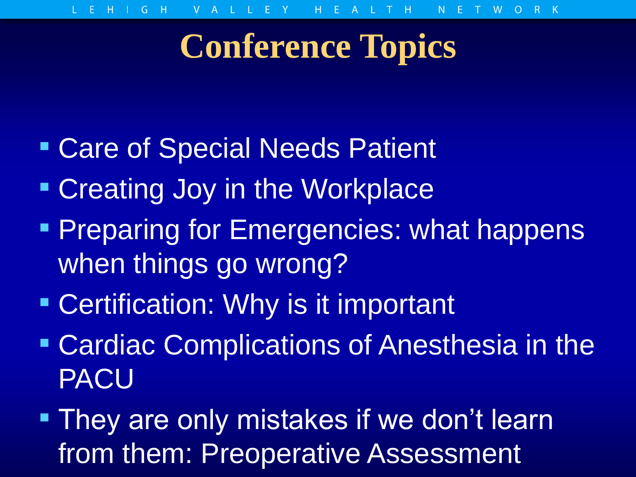## **Conference Topics**

- **Care of Special Needs Patient**
- **Creating Joy in the Workplace**
- **Preparing for Emergencies: what happens** when things go wrong?
- **Certification: Why is it important**
- **Cardiac Complications of Anesthesia in the** PACU
- **They are only mistakes if we don't learn** from them: Preoperative Assessment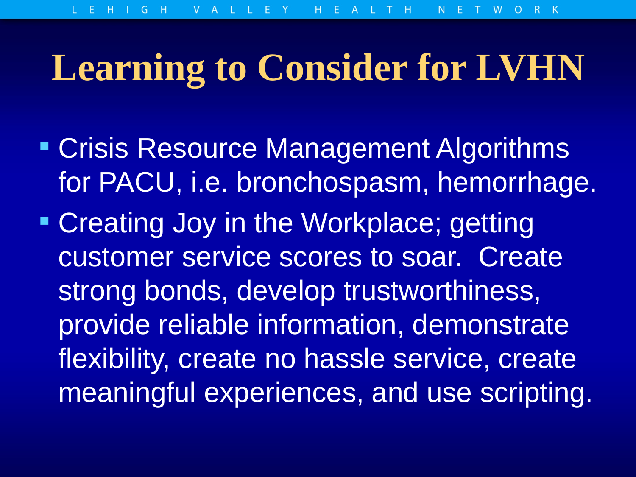# **Learning to Consider for LVHN**

- **Crisis Resource Management Algorithms** for PACU, i.e. bronchospasm, hemorrhage.
- **Creating Joy in the Workplace; getting** customer service scores to soar. Create strong bonds, develop trustworthiness, provide reliable information, demonstrate flexibility, create no hassle service, create meaningful experiences, and use scripting.